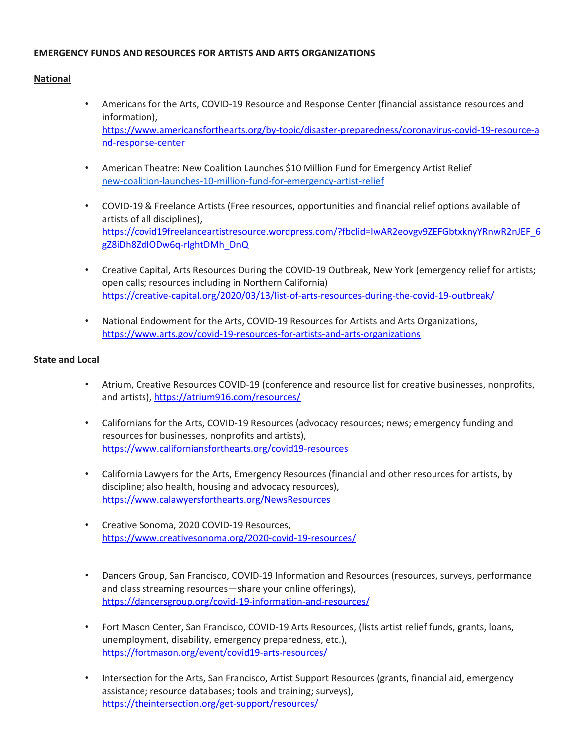## **EMERGENCY FUNDS AND RESOURCES FOR ARTISTS AND ARTS ORGANIZATIONS**

## **National**

- Americans for the Arts, COVID-19 Resource and Response Center (financial assistance resources and information), [https://www.americansforthearts.org/by-topic/disaster-preparedness/coronavirus-covid-19-resource-a](https://www.americansforthearts.org/by-topic/disaster-preparedness/coronavirus-covid-19-resource-and-response-center) [nd-response-center](https://www.americansforthearts.org/by-topic/disaster-preparedness/coronavirus-covid-19-resource-and-response-center)
- American Theatre: New Coalition Launches \$10 Million Fund for Emergency Artist Relief [new-coalition-launches-10-million-fund-for-emergency-artist-relief](https://www.americantheatre.org/2020/04/08/new-coalition-launches-10-million-fund-for-emergency-artist-relief/?fbclid=IwAR1eYnXjpsrOMj9b7Z9AdD9sPaGF97QRuk6dg3e0LTszB4P5MyFlGyAZPzI)
- COVID-19 & Freelance Artists (Free resources, opportunities and financial relief options available of artists of all disciplines), [https://covid19freelanceartistresource.wordpress.com/?fbclid=IwAR2eovgv9ZEFGbtxknyYRnwR2nJEF\\_6](https://gcc02.safelinks.protection.outlook.com/?url=https%3A%2F%2Fcovid19freelanceartistresource.wordpress.com%2F%3Ffbclid%3DIwAR2eovgv9ZEFGbtxknyYRnwR2nJEF_6gZ8iDh8ZdIODw6q-rlghtDMh_DnQ&data=02%7C01%7CGCalicchio%40marincounty.org%7C1e1db302f7d942e0f91108d7d0dab7ef%7Cd272712e54ee458485b3934c194eeb6d%7C0%7C0%7C637207510122027318&sdata=ZB478JMbyTeP3zi2R29IR7%2BFlL92RCme6%2BWc0Y0MCiI%3D&reserved=0) [gZ8iDh8ZdIODw6q-rlghtDMh\\_DnQ](https://gcc02.safelinks.protection.outlook.com/?url=https%3A%2F%2Fcovid19freelanceartistresource.wordpress.com%2F%3Ffbclid%3DIwAR2eovgv9ZEFGbtxknyYRnwR2nJEF_6gZ8iDh8ZdIODw6q-rlghtDMh_DnQ&data=02%7C01%7CGCalicchio%40marincounty.org%7C1e1db302f7d942e0f91108d7d0dab7ef%7Cd272712e54ee458485b3934c194eeb6d%7C0%7C0%7C637207510122027318&sdata=ZB478JMbyTeP3zi2R29IR7%2BFlL92RCme6%2BWc0Y0MCiI%3D&reserved=0)
- Creative Capital, Arts Resources During the COVID-19 Outbreak, New York (emergency relief for artists; open calls; resources including in Northern California) <https://creative-capital.org/2020/03/13/list-of-arts-resources-during-the-covid-19-outbreak/>
- National Endowment for the Arts, COVID-19 Resources for Artists and Arts Organizations, [https://www.arts.gov/covid-19-resources-for-artists-and-arts-organizations](https://gcc02.safelinks.protection.outlook.com/?url=https%3A%2F%2Fwww.arts.gov%2Fcovid-19-resources-for-artists-and-arts-organizations&data=02%7C01%7CGCalicchio%40marincounty.org%7C1e1db302f7d942e0f91108d7d0dab7ef%7Cd272712e54ee458485b3934c194eeb6d%7C0%7C0%7C637207510122017325&sdata=rs42gof4lWP6ALOmI31mYdkE1AtZUQRSFIDPROgJLes%3D&reserved=0)

## **State and Local**

- Atrium, Creative Resources COVID-19 (conference and resource list for creative businesses, nonprofits, and artists), <https://atrium916.com/resources/>
- Californians for the Arts, COVID-19 Resources (advocacy resources; news; emergency funding and resources for businesses, nonprofits and artists), <https://www.californiansforthearts.org/covid19-resources>
- California Lawyers for the Arts, Emergency Resources (financial and other resources for artists, by discipline; also health, housing and advocacy resources), <https://www.calawyersforthearts.org/NewsResources>
- Creative Sonoma, 2020 COVID-19 Resources, <https://www.creativesonoma.org/2020-covid-19-resources/>
- Dancers Group, San Francisco, COVID-19 Information and Resources (resources, surveys, performance and class streaming resources—share your online offerings), <https://dancersgroup.org/covid-19-information-and-resources/>
- Fort Mason Center, San Francisco, COVID-19 Arts Resources, (lists artist relief funds, grants, loans, unemployment, disability, emergency preparedness, etc.), <https://fortmason.org/event/covid19-arts-resources/>
- Intersection for the Arts, San Francisco, Artist Support Resources (grants, financial aid, emergency assistance; resource databases; tools and training; surveys), <https://theintersection.org/get-support/resources/>